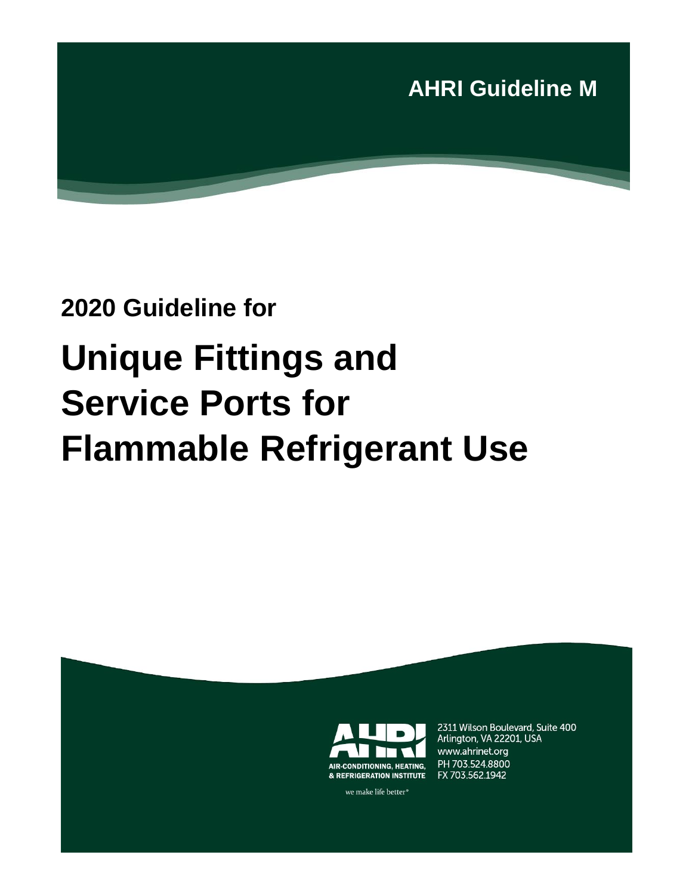

# **2020 Guideline for Unique Fittings and Service Ports for**

# **Flammable Refrigerant Use**



2311 Wilson Boulevard, Suite 400 Arlington, VA 22201, USA www.ahrinet.org PH 703.524.8800 FX 703.562.1942

we make life better<sup>®</sup>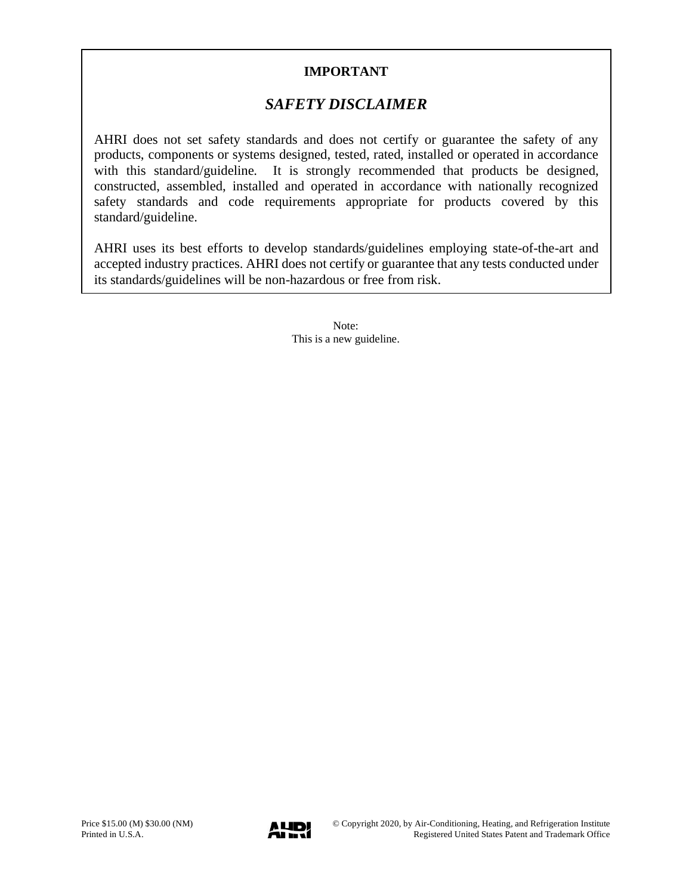### **IMPORTANT**

## *SAFETY DISCLAIMER*

AHRI does not set safety standards and does not certify or guarantee the safety of any products, components or systems designed, tested, rated, installed or operated in accordance with this standard/guideline. It is strongly recommended that products be designed, constructed, assembled, installed and operated in accordance with nationally recognized safety standards and code requirements appropriate for products covered by this standard/guideline.

AHRI uses its best efforts to develop standards/guidelines employing state-of-the-art and accepted industry practices. AHRI does not certify or guarantee that any tests conducted under its standards/guidelines will be non-hazardous or free from risk.

> Note: This is a new guideline.

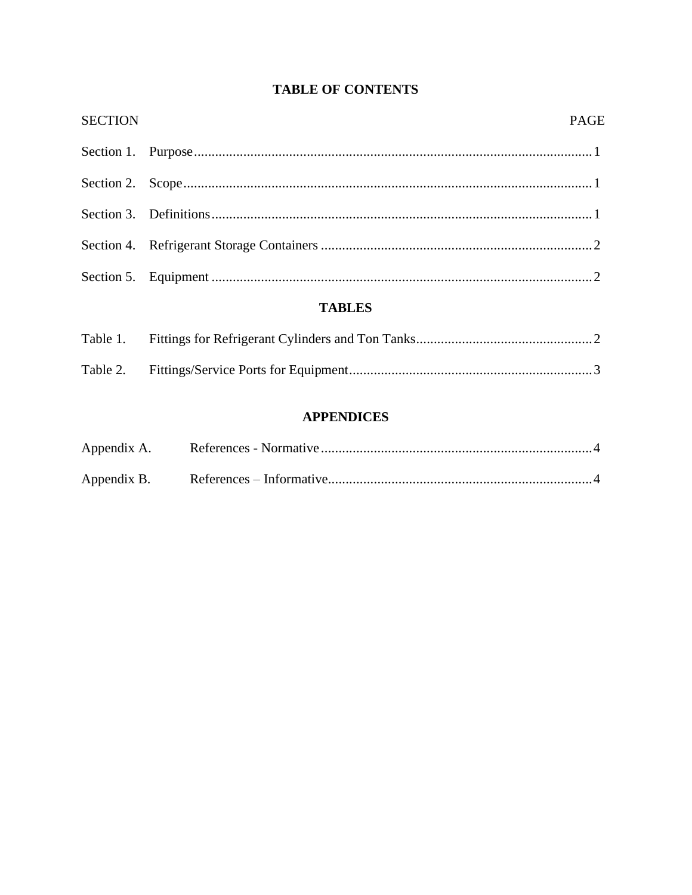## **TABLE OF CONTENTS**

| <b>TABLES</b>  |             |  |  |  |
|----------------|-------------|--|--|--|
|                |             |  |  |  |
|                |             |  |  |  |
|                |             |  |  |  |
|                |             |  |  |  |
|                |             |  |  |  |
| <b>SECTION</b> | <b>PAGE</b> |  |  |  |

| Table 1. |  |
|----------|--|
|          |  |

### **APPENDICES**

| Appendix A. |  |
|-------------|--|
| Appendix B. |  |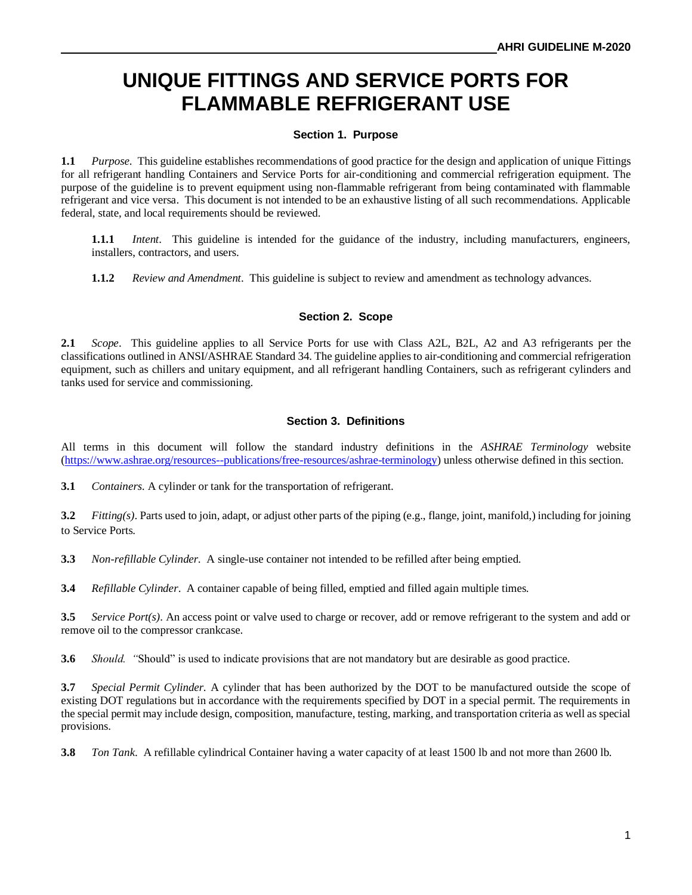# **UNIQUE FITTINGS AND SERVICE PORTS FOR FLAMMABLE REFRIGERANT USE**

#### **Section 1. Purpose**

**1.1** *Purpose*. This guideline establishes recommendations of good practice for the design and application of unique Fittings for all refrigerant handling Containers and Service Ports for air-conditioning and commercial refrigeration equipment. The purpose of the guideline is to prevent equipment using non-flammable refrigerant from being contaminated with flammable refrigerant and vice versa. This document is not intended to be an exhaustive listing of all such recommendations. Applicable federal, state, and local requirements should be reviewed.

**1.1.1** *Intent*. This guideline is intended for the guidance of the industry, including manufacturers, engineers, installers, contractors, and users.

**1.1.2** *Review and Amendment*. This guideline is subject to review and amendment as technology advances.

#### **Section 2. Scope**

**2.1** *Scope*. This guideline applies to all Service Ports for use with Class A2L, B2L, A2 and A3 refrigerants per the classifications outlined in ANSI/ASHRAE Standard 34. The guideline applies to air-conditioning and commercial refrigeration equipment, such as chillers and unitary equipment, and all refrigerant handling Containers, such as refrigerant cylinders and tanks used for service and commissioning.

#### **Section 3. Definitions**

All terms in this document will follow the standard industry definitions in the *ASHRAE Terminology* website [\(https://www.ashrae.org/resources--publications/free-resources/ashrae-terminology\)](https://www.ashrae.org/resources--publications/free-resources/ashrae-terminology) unless otherwise defined in this section.

**3.1** *Containers.* A cylinder or tank for the transportation of refrigerant.

**3.2** *Fitting(s)*. Parts used to join, adapt, or adjust other parts of the piping (e.g., flange, joint, manifold,) including for joining to Service Ports.

**3.3** *Non-refillable Cylinder.* A single-use container not intended to be refilled after being emptied.

**3.4** *Refillable Cylinder*. A container capable of being filled, emptied and filled again multiple times.

**3.5** *Service Port(s)*. An access point or valve used to charge or recover, add or remove refrigerant to the system and add or remove oil to the compressor crankcase.

**3.6** *Should. "*Should" is used to indicate provisions that are not mandatory but are desirable as good practice.

**3.7** *Special Permit Cylinder.* A cylinder that has been authorized by the DOT to be manufactured outside the scope of existing DOT regulations but in accordance with the requirements specified by DOT in a special permit. The requirements in the special permit may include design, composition, manufacture, testing, marking, and transportation criteria as well as special provisions.

**3.8** *Ton Tank*. A refillable cylindrical Container having a water capacity of at least 1500 lb and not more than 2600 lb.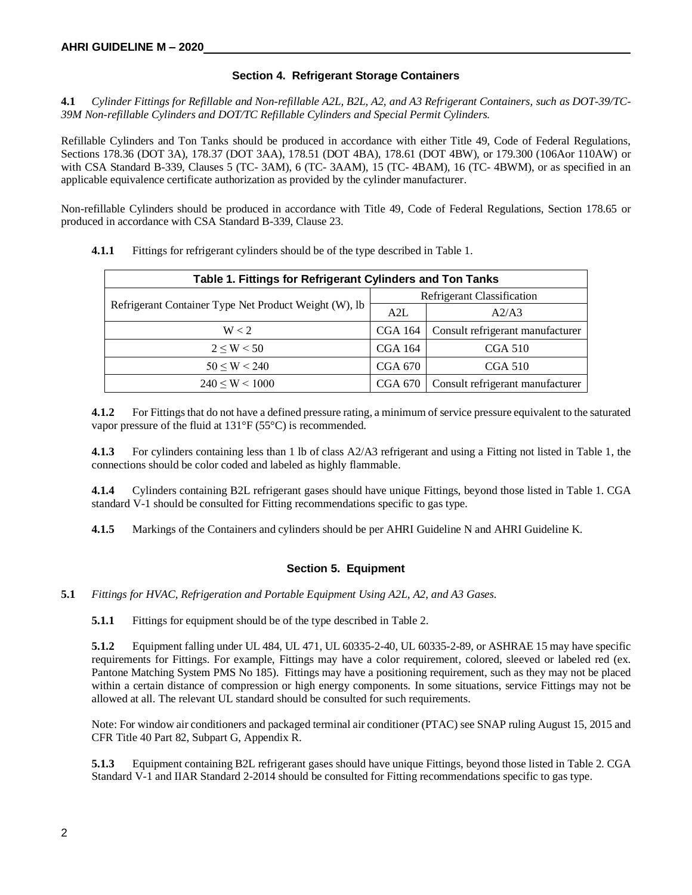#### **Section 4. Refrigerant Storage Containers**

**4.1** *Cylinder Fittings for Refillable and Non-refillable A2L, B2L, A2, and A3 Refrigerant Containers, such as DOT-39/TC-39M Non-refillable Cylinders and DOT/TC Refillable Cylinders and Special Permit Cylinders.*

Refillable Cylinders and Ton Tanks should be produced in accordance with either Title 49, Code of Federal Regulations, Sections 178.36 (DOT 3A), 178.37 (DOT 3AA), 178.51 (DOT 4BA), 178.61 (DOT 4BW), or 179.300 (106Aor 110AW) or with CSA Standard B-339, Clauses 5 (TC- 3AM), 6 (TC- 3AAM), 15 (TC- 4BAM), 16 (TC- 4BWM), or as specified in an applicable equivalence certificate authorization as provided by the cylinder manufacturer.

Non-refillable Cylinders should be produced in accordance with Title 49, Code of Federal Regulations, Section 178.65 or produced in accordance with CSA Standard B-339, Clause 23.

| Table 1. Fittings for Refrigerant Cylinders and Ton Tanks |                            |                                  |  |  |  |  |
|-----------------------------------------------------------|----------------------------|----------------------------------|--|--|--|--|
|                                                           | Refrigerant Classification |                                  |  |  |  |  |
| Refrigerant Container Type Net Product Weight (W), lb     | A2L                        | A2/A3                            |  |  |  |  |
| W < 2                                                     | CGA 164                    | Consult refrigerant manufacturer |  |  |  |  |
| $2 \le W \le 50$                                          | CGA 164                    | CGA 510                          |  |  |  |  |
| $50 \le W \le 240$                                        | CGA 670                    | CGA 510                          |  |  |  |  |
| $240 \le W \le 1000$                                      | CGA 670                    | Consult refrigerant manufacturer |  |  |  |  |

**4.1.1** Fittings for refrigerant cylinders should be of the type described in Table 1.

**4.1.2** For Fittings that do not have a defined pressure rating, a minimum of service pressure equivalent to the saturated vapor pressure of the fluid at 131°F (55°C) is recommended.

**4.1.3** For cylinders containing less than 1 lb of class A2/A3 refrigerant and using a Fitting not listed in Table 1, the connections should be color coded and labeled as highly flammable.

**4.1.4** Cylinders containing B2L refrigerant gases should have unique Fittings, beyond those listed in Table 1. CGA standard V-1 should be consulted for Fitting recommendations specific to gas type.

**4.1.5** Markings of the Containers and cylinders should be per AHRI Guideline N and AHRI Guideline K.

#### **Section 5. Equipment**

**5.1** *Fittings for HVAC, Refrigeration and Portable Equipment Using A2L, A2, and A3 Gases.*

**5.1.1** Fittings for equipment should be of the type described in Table 2.

**5.1.2** Equipment falling under UL 484, UL 471, UL 60335-2-40, UL 60335-2-89, or ASHRAE 15 may have specific requirements for Fittings. For example, Fittings may have a color requirement, colored, sleeved or labeled red (ex. Pantone Matching System PMS No 185). Fittings may have a positioning requirement, such as they may not be placed within a certain distance of compression or high energy components. In some situations, service Fittings may not be allowed at all. The relevant UL standard should be consulted for such requirements.

Note: For window air conditioners and packaged terminal air conditioner (PTAC) see SNAP ruling August 15, 2015 and CFR Title 40 Part 82, Subpart G, Appendix R.

**5.1.3** Equipment containing B2L refrigerant gases should have unique Fittings, beyond those listed in Table 2. CGA Standard V-1 and IIAR Standard 2-2014 should be consulted for Fitting recommendations specific to gas type.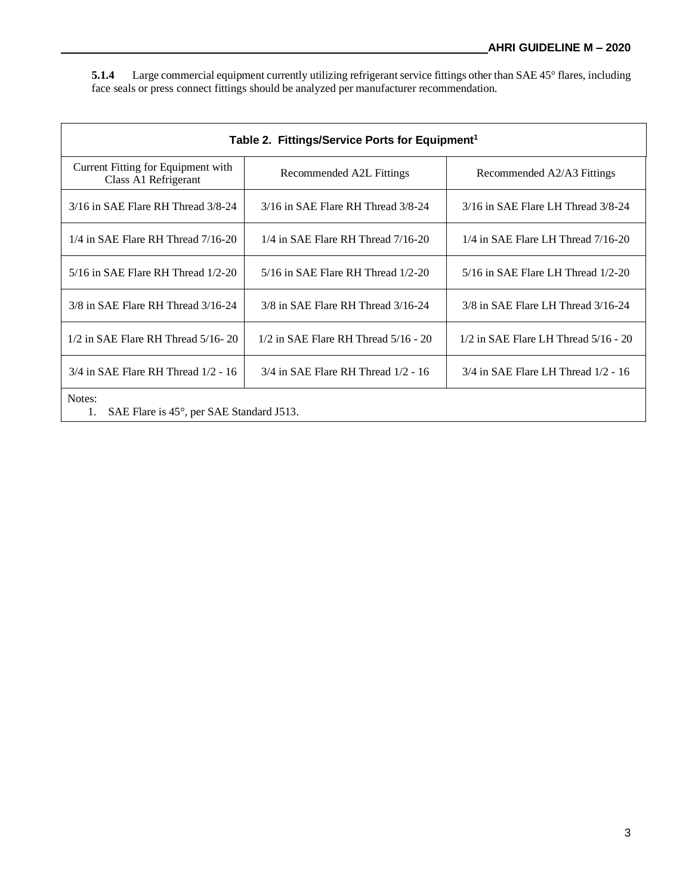**5.1.4** Large commercial equipment currently utilizing refrigerant service fittings other than SAE 45° flares, including face seals or press connect fittings should be analyzed per manufacturer recommendation.

| Table 2. Fittings/Service Ports for Equipment <sup>1</sup> |                                          |                                          |  |  |  |  |
|------------------------------------------------------------|------------------------------------------|------------------------------------------|--|--|--|--|
| Current Fitting for Equipment with<br>Class A1 Refrigerant | Recommended A2L Fittings                 | Recommended A2/A3 Fittings               |  |  |  |  |
| $3/16$ in SAE Flare RH Thread $3/8-24$                     | $3/16$ in SAE Flare RH Thread $3/8-24$   | 3/16 in SAE Flare LH Thread 3/8-24       |  |  |  |  |
| $1/4$ in SAE Flare RH Thread $7/16-20$                     | $1/4$ in SAE Flare RH Thread $7/16-20$   | $1/4$ in SAE Flare LH Thread $7/16-20$   |  |  |  |  |
| $5/16$ in SAE Flare RH Thread $1/2-20$                     | $5/16$ in SAE Flare RH Thread $1/2-20$   | $5/16$ in SAE Flare LH Thread $1/2-20$   |  |  |  |  |
| 3/8 in SAE Flare RH Thread 3/16-24                         | $3/8$ in SAE Flare RH Thread $3/16-24$   | $3/8$ in SAE Flare LH Thread $3/16-24$   |  |  |  |  |
| $1/2$ in SAE Flare RH Thread $5/16 - 20$                   | $1/2$ in SAE Flare RH Thread $5/16 - 20$ | $1/2$ in SAE Flare LH Thread $5/16 - 20$ |  |  |  |  |
| $3/4$ in SAE Flare RH Thread $1/2 - 16$                    | $3/4$ in SAE Flare RH Thread $1/2 - 16$  | $3/4$ in SAE Flare LH Thread $1/2 - 16$  |  |  |  |  |
| Notes:<br>SAE Flare is 45°, per SAE Standard J513.<br>1.   |                                          |                                          |  |  |  |  |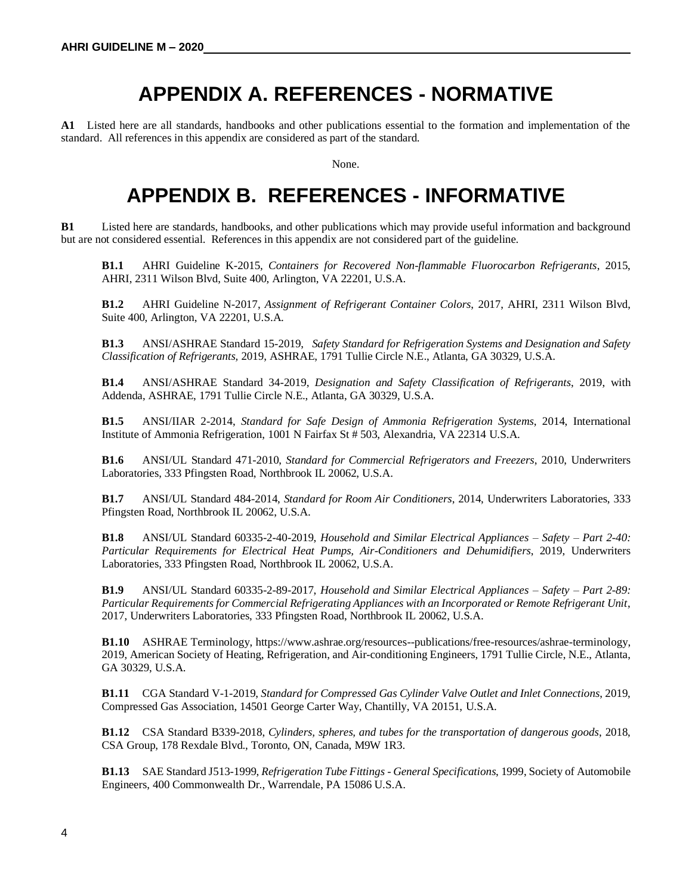# **APPENDIX A. REFERENCES - NORMATIVE**

**A1** Listed here are all standards, handbooks and other publications essential to the formation and implementation of the standard. All references in this appendix are considered as part of the standard.

None.

# **APPENDIX B. REFERENCES - INFORMATIVE**

**B1** Listed here are standards, handbooks, and other publications which may provide useful information and background but are not considered essential. References in this appendix are not considered part of the guideline.

**B1.1** AHRI Guideline K-2015, *Containers for Recovered Non-flammable Fluorocarbon Refrigerants*, 2015, AHRI, 2311 Wilson Blvd, Suite 400, Arlington, VA 22201, U.S.A.

**B1.2** AHRI Guideline N-2017, *Assignment of Refrigerant Container Colors*, 2017, AHRI, 2311 Wilson Blvd, Suite 400, Arlington, VA 22201, U.S.A.

**B1.3** ANSI/ASHRAE Standard 15-2019, *Safety Standard for Refrigeration Systems and Designation and Safety Classification of Refrigerants,* 2019, ASHRAE, 1791 Tullie Circle N.E., Atlanta, GA 30329, U.S.A.

**B1.4** ANSI/ASHRAE Standard 34-2019, *Designation and Safety Classification of Refrigerants*, 2019, with Addenda, ASHRAE, 1791 Tullie Circle N.E., Atlanta, GA 30329, U.S.A.

**B1.5** ANSI/IIAR 2-2014, *Standard for Safe Design of Ammonia Refrigeration Systems*, 2014, International Institute of Ammonia Refrigeration, 1001 N Fairfax St # 503, Alexandria, VA 22314 U.S.A.

**B1.6** ANSI/UL Standard 471-2010, *Standard for Commercial Refrigerators and Freezers*, 2010, Underwriters Laboratories, 333 Pfingsten Road, Northbrook IL 20062, U.S.A.

**B1.7** ANSI/UL Standard 484-2014, *Standard for Room Air Conditioners*, 2014, Underwriters Laboratories, 333 Pfingsten Road, Northbrook IL 20062, U.S.A.

**B1.8** ANSI/UL Standard 60335-2-40-2019, *Household and Similar Electrical Appliances – Safety – Part 2-40: Particular Requirements for Electrical Heat Pumps, Air-Conditioners and Dehumidifiers*, 2019, Underwriters Laboratories, 333 Pfingsten Road, Northbrook IL 20062, U.S.A.

**B1.9** ANSI/UL Standard 60335-2-89-2017, *Household and Similar Electrical Appliances – Safety – Part 2-89: Particular Requirements for Commercial Refrigerating Appliances with an Incorporated or Remote Refrigerant Unit*, 2017, Underwriters Laboratories, 333 Pfingsten Road, Northbrook IL 20062, U.S.A.

**B1.10** ASHRAE Terminology, https://www.ashrae.org/resources--publications/free-resources/ashrae-terminology, 2019, American Society of Heating, Refrigeration, and Air-conditioning Engineers, 1791 Tullie Circle, N.E., Atlanta, GA 30329, U.S.A.

**B1.11** CGA Standard V-1-2019, *Standard for Compressed Gas Cylinder Valve Outlet and Inlet Connections*, 2019, Compressed Gas Association, 14501 George Carter Way, Chantilly, VA 20151, U.S.A.

**B1.12** CSA Standard B339-2018, *Cylinders, spheres, and tubes for the transportation of dangerous goods*, 2018, CSA Group, 178 Rexdale Blvd., Toronto, ON, Canada, M9W 1R3.

**B1.13** SAE Standard J513-1999, *Refrigeration Tube Fittings - General Specifications*, 1999, Society of Automobile Engineers, 400 Commonwealth Dr., Warrendale, PA 15086 U.S.A.